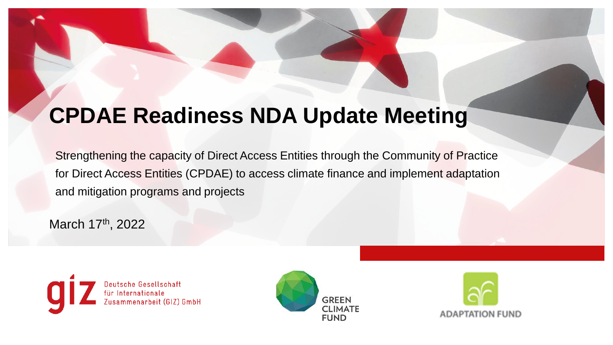## **CPDAE Readiness NDA Update Meeting**

Strengthening the capacity of Direct Access Entities through the Community of Practice for Direct Access Entities (CPDAE) to access climate finance and implement adaptation and mitigation programs and projects

March 17<sup>th</sup>, 2022





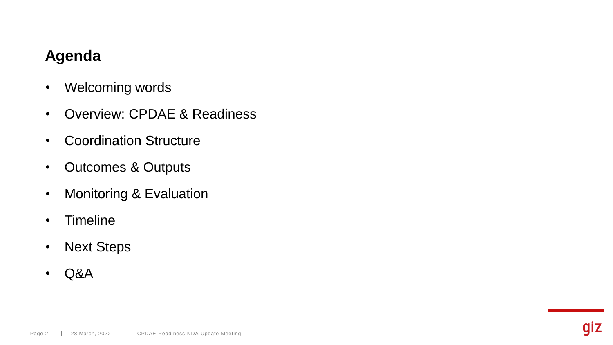## **Agenda**

- Welcoming words
- Overview: CPDAE & Readiness
- Coordination Structure
- Outcomes & Outputs
- Monitoring & Evaluation
- Timeline
- Next Steps
- Q&A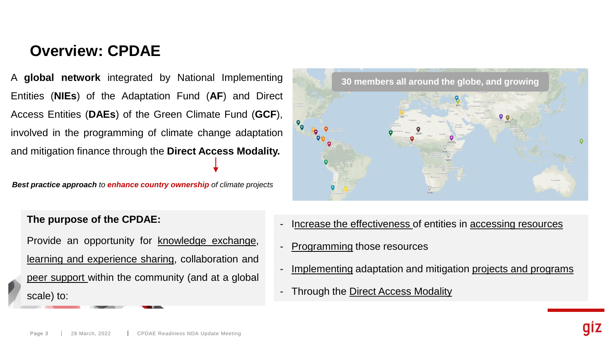## **Overview: CPDAE**

A **global network** integrated by National Implementing Entities (**NIEs**) of the Adaptation Fund (**AF**) and Direct Access Entities (**DAEs**) of the Green Climate Fund (**GCF**), involved in the programming of climate change adaptation and mitigation finance through the **Direct Access Modality.**

*Best practice approach to enhance country ownership of climate projects*



#### **The purpose of the CPDAE:**

Provide an opportunity for knowledge exchange, learning and experience sharing, collaboration and peer support within the community (and at a global scale) to:

- Increase the effectiveness of entities in accessing resources
- Programming those resources
- Implementing adaptation and mitigation projects and programs
- Through the Direct Access Modality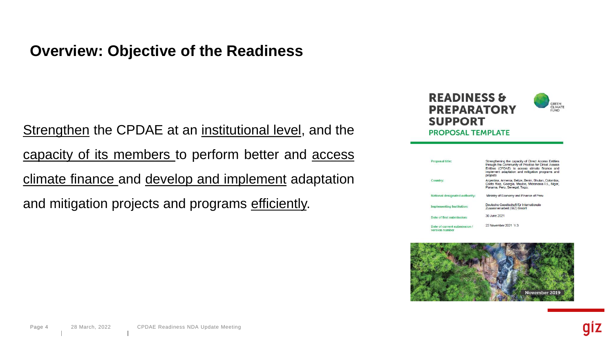## **Overview: Objective of the Readiness**

Strengthen the CPDAE at an institutional level, and the capacity of its members to perform better and access climate finance and develop and implement adaptation and mitigation projects and programs efficiently.



| Proposal title:                               | Strengthening the capacity of Direct Access Entities<br>through the Community of Practice for Direct Access<br>Entities (CPDAE) to access climate finance and<br>implement adaptation and mitigation programs and<br>projects |
|-----------------------------------------------|-------------------------------------------------------------------------------------------------------------------------------------------------------------------------------------------------------------------------------|
| Country:                                      | Argentina, Armenia, Belize, Benin, Bhutan, Colombia,<br>Costa Rica, Georgia, Mexico, Micronesia F.S., Niger,<br>Panama, Peru, Senegal, Togo,                                                                                  |
| National designated authority:                | Ministry of Economy and Finance of Peru                                                                                                                                                                                       |
| Implementing Institution:                     | Deutsche Gesellschaft für Internationale<br>Zusammenarbeit (GIZ) GmbH                                                                                                                                                         |
| Date of first submission:                     | 30 June 2021                                                                                                                                                                                                                  |
| Date of current submission.<br>version number | 22 November 2021 V.3                                                                                                                                                                                                          |

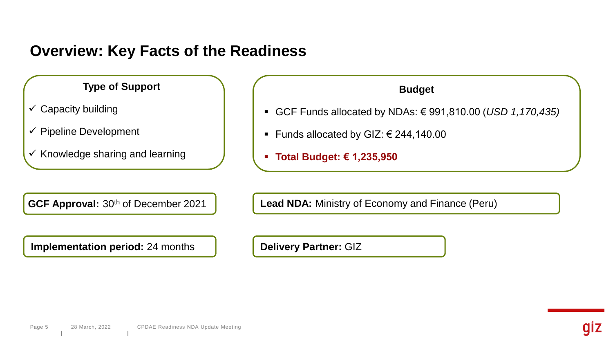## **Overview: Key Facts of the Readiness**

**Type of Support**

- $\checkmark$  Capacity building
- $\checkmark$  Pipeline Development
- $\checkmark$  Knowledge sharing and learning

**Implementation period:** 24 months **Delivery Partner:** GIZ

**Budget**

- GCF Funds allocated by NDAs: € 991,810.00 (*USD 1,170,435)*
- Funds allocated by GIZ:  $€ 244,140.00$
- **Total Budget: € 1,235,950**

**GCF Approval:** 30<sup>th</sup> of December 2021 **Lead NDA:** Ministry of Economy and Finance (Peru)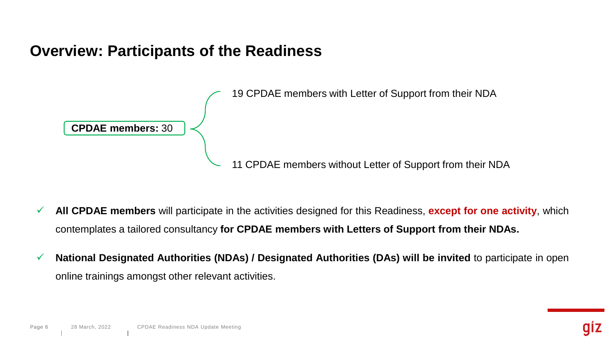## **Overview: Participants of the Readiness**



- ✓ **All CPDAE members** will participate in the activities designed for this Readiness, **except for one activity**, which contemplates a tailored consultancy **for CPDAE members with Letters of Support from their NDAs.**
- ✓ **National Designated Authorities (NDAs) / Designated Authorities (DAs) will be invited** to participate in open online trainings amongst other relevant activities.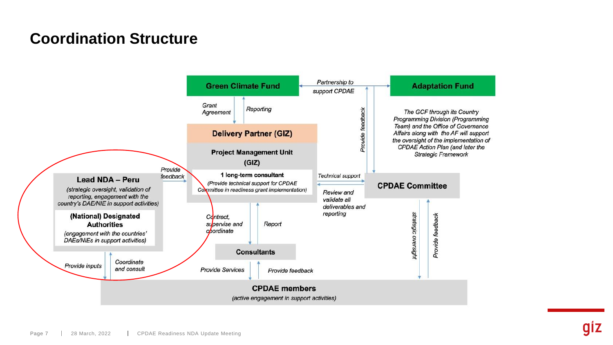## **Coordination Structure**

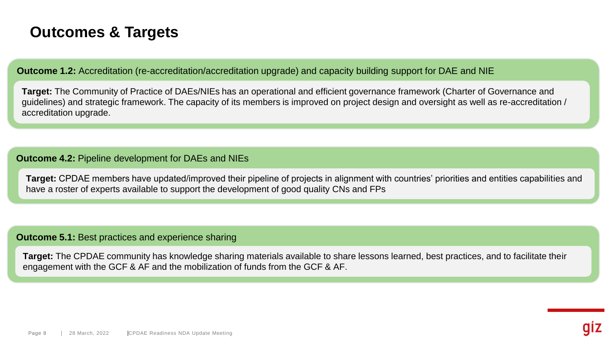## **Outcomes & Targets**

**Outcome 1.2:** Accreditation (re-accreditation/accreditation upgrade) and capacity building support for DAE and NIE

**Target:** The Community of Practice of DAEs/NIEs has an operational and efficient governance framework (Charter of Governance and guidelines) and strategic framework. The capacity of its members is improved on project design and oversight as well as re-accreditation / accreditation upgrade.

#### **Outcome 4.2:** Pipeline development for DAEs and NIEs

**Target:** CPDAE members have updated/improved their pipeline of projects in alignment with countries' priorities and entities capabilities and have a roster of experts available to support the development of good quality CNs and FPs

#### **Outcome 5.1:** Best practices and experience sharing

**Target:** The CPDAE community has knowledge sharing materials available to share lessons learned, best practices, and to facilitate their engagement with the GCF & AF and the mobilization of funds from the GCF & AF.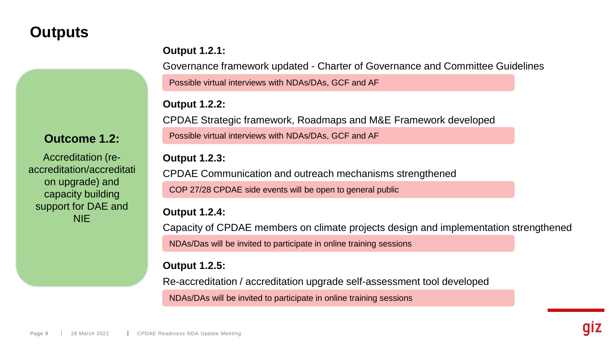## **Outputs**

#### **Output 1.2.1:**

Governance framework updated - Charter of Governance and Committee Guidelines

Possible virtual interviews with NDAs/DAs, GCF and AF

#### **Output 1.2.2:**

CPDAE Strategic framework, Roadmaps and M&E Framework developed Possible virtual interviews with NDAs/DAs, GCF and AF

#### **Outcome 1.2:**

Accreditation (reaccreditation/accreditati on upgrade) and capacity building support for DAE and **NIE** 

**Output 1.2.3:**

CPDAE Communication and outreach mechanisms strengthened COP 27/28 CPDAE side events will be open to general public

#### **Output 1.2.4:**

Capacity of CPDAE members on climate projects design and implementation strengthened NDAs/Das will be invited to participate in online training sessions

#### **Output 1.2.5:**

Re-accreditation / accreditation upgrade self-assessment tool developed

NDAs/DAs will be invited to participate in online training sessions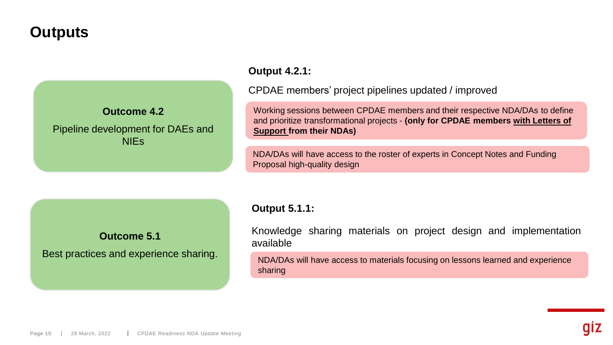## **Outputs**

#### **Outcome 4.2**

#### Pipeline development for DAEs and **NIEs**

#### **Output 4.2.1:**

CPDAE members' project pipelines updated / improved

Working sessions between CPDAE members and their respective NDA/DAs to define and prioritize transformational projects - **(only for CPDAE members with Letters of Support from their NDAs)**

NDA/DAs will have access to the roster of experts in Concept Notes and Funding Proposal high-quality design

#### **Outcome 5.1**

Best practices and experience sharing.

#### **Output 5.1.1:**

Knowledge sharing materials on project design and implementation available

NDA/DAs will have access to materials focusing on lessons learned and experience sharing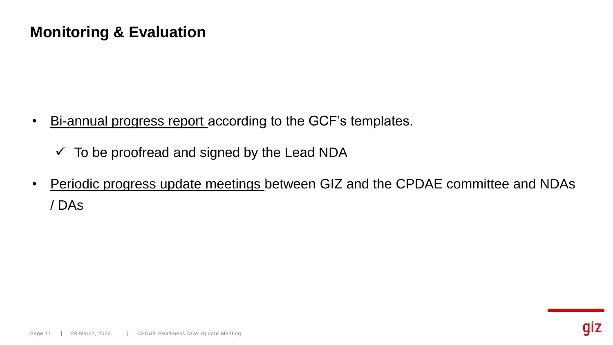## **Monitoring & Evaluation**

- Bi-annual progress report according to the GCF's templates.
	- $\checkmark$  To be proofread and signed by the Lead NDA
- Periodic progress update meetings between GIZ and the CPDAE committee and NDAs / DAs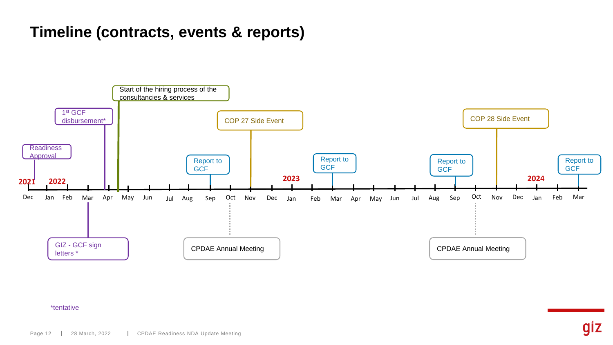## **Timeline (contracts, events & reports)**



#### \*tentative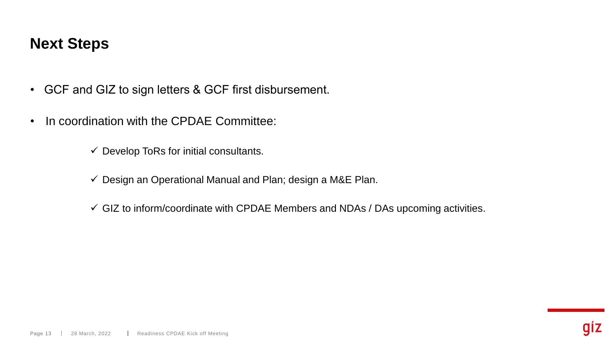## **Next Steps**

- GCF and GIZ to sign letters & GCF first disbursement.
- In coordination with the CPDAE Committee:

 $\checkmark$  Develop ToRs for initial consultants.

 $\checkmark$  Design an Operational Manual and Plan; design a M&E Plan.

 $\checkmark$  GIZ to inform/coordinate with CPDAE Members and NDAs / DAs upcoming activities.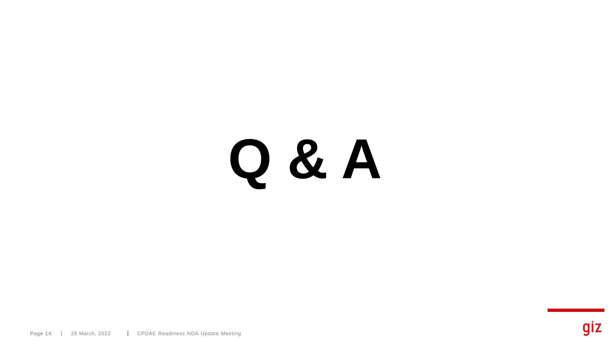# **Q & A**